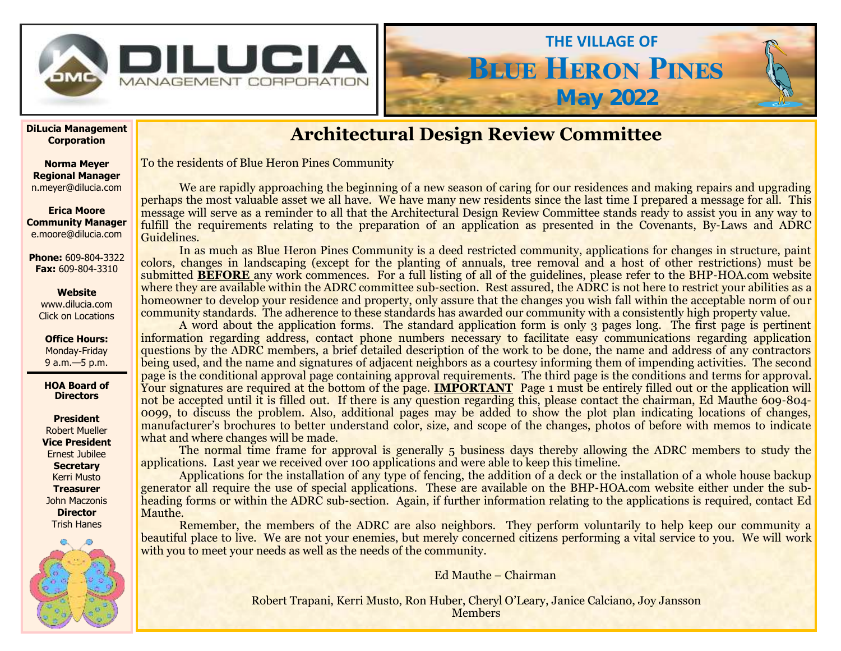

# **Architectural Design Review Committee**

**Blue Heron Pines**

**May 2022**

**THE VILLAGE OF**

To the residents of Blue Heron Pines Community

We are rapidly approaching the beginning of a new season of caring for our residences and making repairs and upgrading perhaps the most valuable asset we all have. We have many new residents since the last time I prepared a message for all. This message will serve as a reminder to all that the Architectural Design Review Committee stands ready to assist you in any way to fulfill the requirements relating to the preparation of an application as presented in the Covenants, By-Laws and ADRC Guidelines.

In as much as Blue Heron Pines Community is a deed restricted community, applications for changes in structure, paint colors, changes in landscaping (except for the planting of annuals, tree removal and a host of other restrictions) must be submitted **BEFORE** any work commences. For a full listing of all of the guidelines, please refer to the BHP-HOA.com website where they are available within the ADRC committee sub-section. Rest assured, the ADRC is not here to restrict your abilities as a homeowner to develop your residence and property, only assure that the changes you wish fall within the acceptable norm of our community standards. The adherence to these standards has awarded our community with a consistently high property value.

A word about the application forms. The standard application form is only 3 pages long. The first page is pertinent information regarding address, contact phone numbers necessary to facilitate easy communications regarding application questions by the ADRC members, a brief detailed description of the work to be done, the name and address of any contractors being used, and the name and signatures of adjacent neighbors as a courtesy informing them of impending activities. The second page is the conditional approval page containing approval requirements. The third page is the conditions and terms for approval. Your signatures are required at the bottom of the page. **IMPORTANT** Page 1 must be entirely filled out or the application will not be accepted until it is filled out. If there is any question regarding this, please contact the chairman, Ed Mauthe 609-804- 0099, to discuss the problem. Also, additional pages may be added to show the plot plan indicating locations of changes, manufacturer's brochures to better understand color, size, and scope of the changes, photos of before with memos to indicate what and where changes will be made.

The normal time frame for approval is generally 5 business days thereby allowing the ADRC members to study the applications. Last year we received over 100 applications and were able to keep this timeline.

Applications for the installation of any type of fencing, the addition of a deck or the installation of a whole house backup generator all require the use of special applications. These are available on the BHP-HOA.com website either under the subheading forms or within the ADRC sub-section. Again, if further information relating to the applications is required, contact Ed Mauthe.

Remember, the members of the ADRC are also neighbors. They perform voluntarily to help keep our community a beautiful place to live. We are not your enemies, but merely concerned citizens performing a vital service to you. We will work with you to meet your needs as well as the needs of the community.

Ed Mauthe – Chairman

Robert Trapani, Kerri Musto, Ron Huber, Cheryl O'Leary, Janice Calciano, Joy Jansson **Members** 

**DiLucia Management Corporation**

**Norma Meyer Regional Manager**  n.meyer@dilucia.com

**Erica Moore Community Manager** e.moore@dilucia.com

**Phone:** 609-804-3322 **Fax:** 609-804-3310

### **Website**

www.dilucia.com Click on Locations

**Office Hours:** Monday-Friday 9 a.m.—5 p.m.

**HOA Board of Directors**

**President** Robert Mueller **Vice President** Ernest Jubilee **Secretary** Kerri Musto **Treasurer** John Maczonis **Director** Trish Hanes